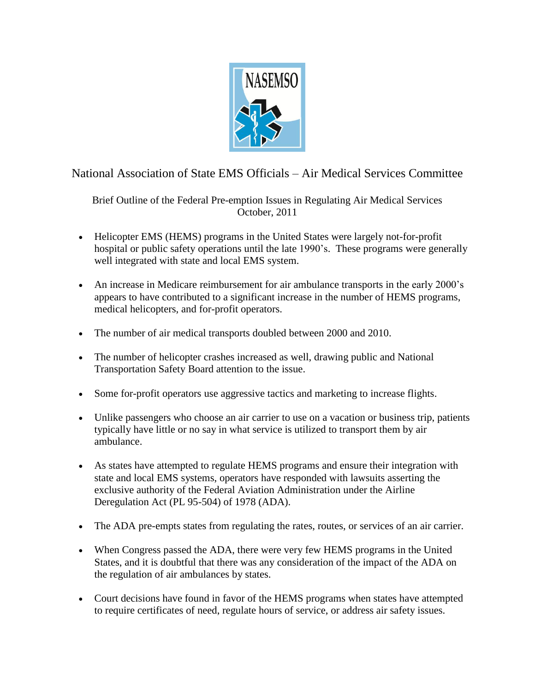

National Association of State EMS Officials – Air Medical Services Committee

Brief Outline of the Federal Pre-emption Issues in Regulating Air Medical Services October, 2011

- Helicopter EMS (HEMS) programs in the United States were largely not-for-profit hospital or public safety operations until the late 1990's. These programs were generally well integrated with state and local EMS system.
- An increase in Medicare reimbursement for air ambulance transports in the early 2000's appears to have contributed to a significant increase in the number of HEMS programs, medical helicopters, and for-profit operators.
- The number of air medical transports doubled between 2000 and 2010.
- The number of helicopter crashes increased as well, drawing public and National Transportation Safety Board attention to the issue.
- Some for-profit operators use aggressive tactics and marketing to increase flights.
- Unlike passengers who choose an air carrier to use on a vacation or business trip, patients typically have little or no say in what service is utilized to transport them by air ambulance.
- As states have attempted to regulate HEMS programs and ensure their integration with state and local EMS systems, operators have responded with lawsuits asserting the exclusive authority of the Federal Aviation Administration under the Airline Deregulation Act (PL 95-504) of 1978 (ADA).
- The ADA pre-empts states from regulating the rates, routes, or services of an air carrier.
- When Congress passed the ADA, there were very few HEMS programs in the United States, and it is doubtful that there was any consideration of the impact of the ADA on the regulation of air ambulances by states.
- Court decisions have found in favor of the HEMS programs when states have attempted to require certificates of need, regulate hours of service, or address air safety issues.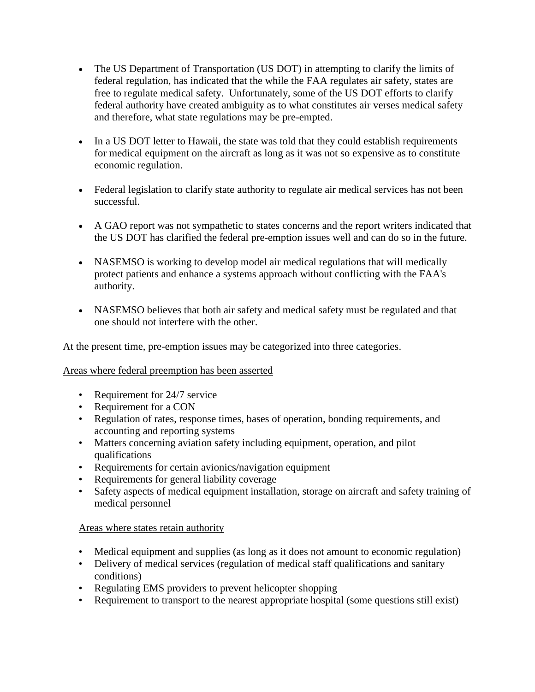- The US Department of Transportation (US DOT) in attempting to clarify the limits of federal regulation, has indicated that the while the FAA regulates air safety, states are free to regulate medical safety. Unfortunately, some of the US DOT efforts to clarify federal authority have created ambiguity as to what constitutes air verses medical safety and therefore, what state regulations may be pre-empted.
- In a US DOT letter to Hawaii, the state was told that they could establish requirements for medical equipment on the aircraft as long as it was not so expensive as to constitute economic regulation.
- Federal legislation to clarify state authority to regulate air medical services has not been successful.
- A GAO report was not sympathetic to states concerns and the report writers indicated that the US DOT has clarified the federal pre-emption issues well and can do so in the future.
- NASEMSO is working to develop model air medical regulations that will medically protect patients and enhance a systems approach without conflicting with the FAA's authority.
- NASEMSO believes that both air safety and medical safety must be regulated and that one should not interfere with the other.

At the present time, pre-emption issues may be categorized into three categories.

## Areas where federal preemption has been asserted

- Requirement for 24/7 service
- Requirement for a CON
- Regulation of rates, response times, bases of operation, bonding requirements, and accounting and reporting systems
- Matters concerning aviation safety including equipment, operation, and pilot qualifications
- Requirements for certain avionics/navigation equipment
- Requirements for general liability coverage
- Safety aspects of medical equipment installation, storage on aircraft and safety training of medical personnel

## Areas where states retain authority

- Medical equipment and supplies (as long as it does not amount to economic regulation)
- Delivery of medical services (regulation of medical staff qualifications and sanitary conditions)
- Regulating EMS providers to prevent helicopter shopping
- Requirement to transport to the nearest appropriate hospital (some questions still exist)